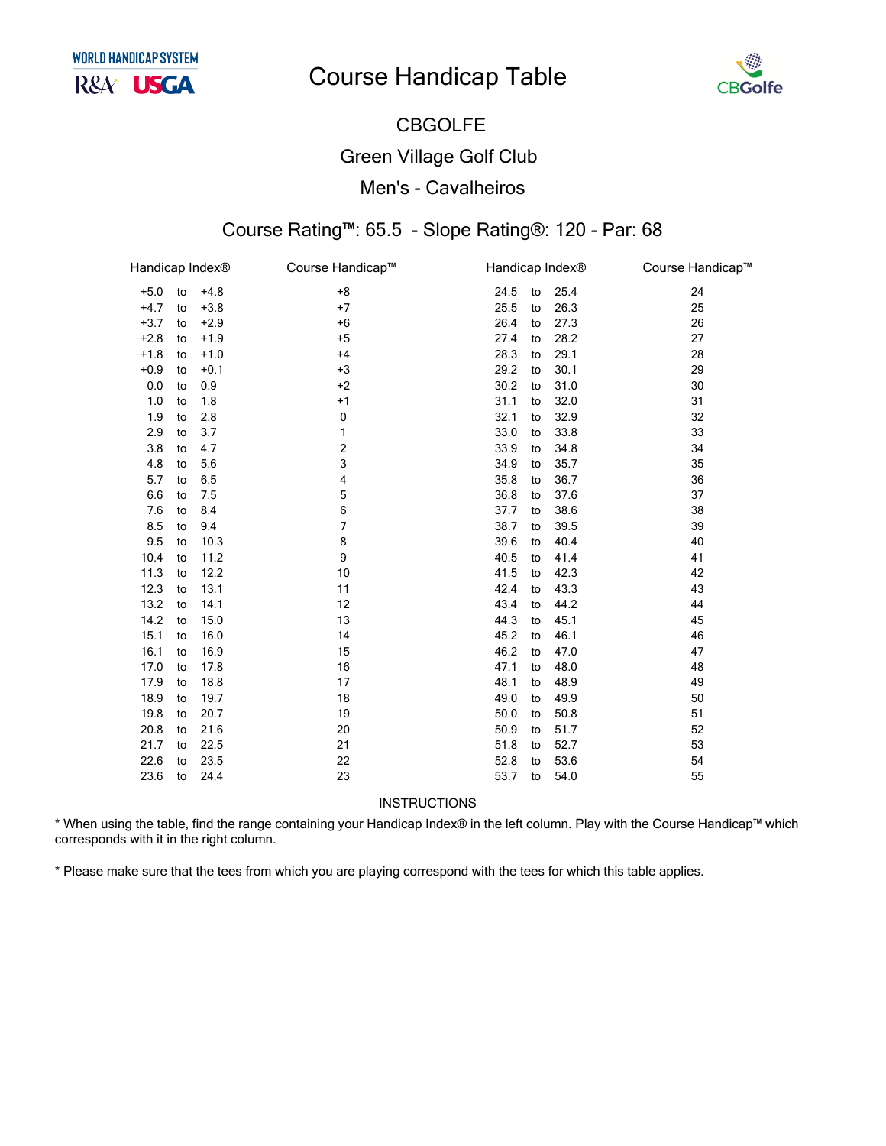# **Course Handicap Table**



## **CBGOLFE Green Village Golf Club** Men's - Cavalheiros

#### Course Rating™: 65.5 - Slope Rating®: 120 - Par: 68

| Handicap Index® |    |        | Course Handicap™ | Handicap Index® |      | Course Handicap™ |
|-----------------|----|--------|------------------|-----------------|------|------------------|
| $+5.0$          | to | $+4.8$ | $+8$             | 24.5<br>to      | 25.4 | 24               |
| $+4.7$          | to | $+3.8$ | $+7$             | 25.5<br>to      | 26.3 | 25               |
| $+3.7$          | to | $+2.9$ | $+6$             | 26.4<br>to      | 27.3 | 26               |
| $+2.8$          | to | $+1.9$ | $+5$             | 27.4<br>to      | 28.2 | 27               |
| $+1.8$          | to | $+1.0$ | $+4$             | 28.3<br>to      | 29.1 | 28               |
| $+0.9$          | to | $+0.1$ | $+3$             | 29.2<br>to      | 30.1 | 29               |
| 0.0             | to | 0.9    | $+2$             | 30.2<br>to      | 31.0 | 30               |
| 1.0             | to | 1.8    | $+1$             | 31.1<br>to      | 32.0 | 31               |
| 1.9             | to | 2.8    | 0                | 32.1<br>to      | 32.9 | 32               |
| 2.9             | to | 3.7    | 1                | 33.0<br>to      | 33.8 | 33               |
| 3.8             | to | 4.7    | 2                | 33.9<br>to      | 34.8 | 34               |
| 4.8             | to | 5.6    | 3                | 34.9<br>to      | 35.7 | 35               |
| 5.7             | to | 6.5    | 4                | 35.8<br>to      | 36.7 | 36               |
| 6.6             | to | 7.5    | 5                | 36.8<br>to      | 37.6 | 37               |
| 7.6             | to | 8.4    | 6                | 37.7<br>to      | 38.6 | 38               |
| 8.5             | to | 9.4    | 7                | 38.7<br>to      | 39.5 | 39               |
| 9.5             | to | 10.3   | 8                | 39.6<br>to      | 40.4 | 40               |
| 10.4            | to | 11.2   | 9                | 40.5<br>to      | 41.4 | 41               |
| 11.3            | to | 12.2   | 10               | 41.5<br>to      | 42.3 | 42               |
| 12.3            | to | 13.1   | 11               | 42.4<br>to      | 43.3 | 43               |
| 13.2            | to | 14.1   | 12               | 43.4<br>to      | 44.2 | 44               |
| 14.2            | to | 15.0   | 13               | 44.3<br>to      | 45.1 | 45               |
| 15.1            | to | 16.0   | 14               | 45.2<br>to      | 46.1 | 46               |
| 16.1            | to | 16.9   | 15               | 46.2<br>to      | 47.0 | 47               |
| 17.0            | to | 17.8   | 16               | 47.1<br>to      | 48.0 | 48               |
| 17.9            | to | 18.8   | 17               | 48.1<br>to      | 48.9 | 49               |
| 18.9            | to | 19.7   | 18               | 49.0<br>to      | 49.9 | 50               |
| 19.8            | to | 20.7   | 19               | 50.0<br>to      | 50.8 | 51               |
| 20.8            | to | 21.6   | 20               | 50.9<br>to      | 51.7 | 52               |
| 21.7            | to | 22.5   | 21               | 51.8<br>to      | 52.7 | 53               |
| 22.6            | to | 23.5   | 22               | 52.8<br>to      | 53.6 | 54               |
| 23.6            | to | 24.4   | 23               | 53.7<br>to      | 54.0 | 55               |

**INSTRUCTIONS** 

\* When using the table, find the range containing your Handicap Index® in the left column. Play with the Course Handicap™ which corresponds with it in the right column.

\* Please make sure that the tees from which you are playing correspond with the tees for which this table applies.